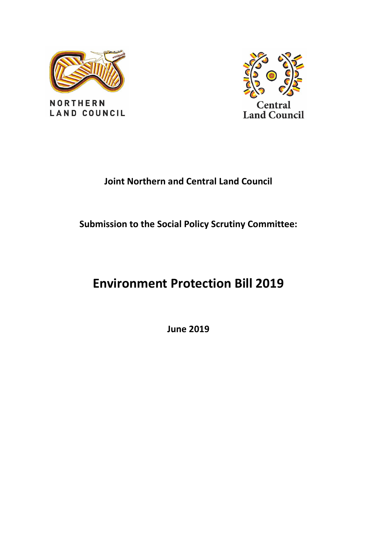

**NORTHERN LAND COUNCIL** 



# **Joint Northern and Central Land Council**

# **Submission to the Social Policy Scrutiny Committee:**

# **Environment Protection Bill 2019**

**June 2019**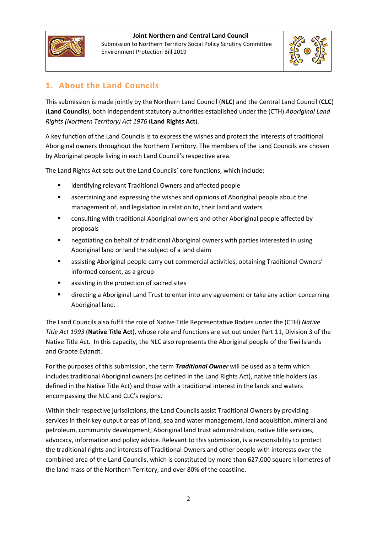

Submission to Northern Territory Social Policy Scrutiny Committee Environment Protection Bill 2019



# **1. About the Land Councils**

This submission is made jointly by the Northern Land Council (**NLC**) and the Central Land Council (**CLC**) (**Land Councils**), both independent statutory authorities established under the (CTH) *Aboriginal Land Rights (Northern Territory) Act 1976* (**Land Rights Act**).

A key function of the Land Councils is to express the wishes and protect the interests of traditional Aboriginal owners throughout the Northern Territory. The members of the Land Councils are chosen by Aboriginal people living in each Land Council's respective area.

The Land Rights Act sets out the Land Councils' core functions, which include:

- **EXEDENT** identifying relevant Traditional Owners and affected people
- ascertaining and expressing the wishes and opinions of Aboriginal people about the management of, and legislation in relation to, their land and waters
- consulting with traditional Aboriginal owners and other Aboriginal people affected by proposals
- negotiating on behalf of traditional Aboriginal owners with parties interested in using Aboriginal land or land the subject of a land claim
- assisting Aboriginal people carry out commercial activities; obtaining Traditional Owners' informed consent, as a group
- **a** assisting in the protection of sacred sites
- directing a Aboriginal Land Trust to enter into any agreement or take any action concerning Aboriginal land.

The Land Councils also fulfil the role of Native Title Representative Bodies under the (CTH) *Native Title Act 1993* (**Native Title Act**), whose role and functions are set out under Part 11, Division 3 of the Native Title Act. In this capacity, the NLC also represents the Aboriginal people of the Tiwi Islands and Groote Eylandt.

For the purposes of this submission, the term *Traditional Owner* will be used as a term which includes traditional Aboriginal owners (as defined in the Land Rights Act), native title holders (as defined in the Native Title Act) and those with a traditional interest in the lands and waters encompassing the NLC and CLC's regions.

Within their respective jurisdictions, the Land Councils assist Traditional Owners by providing services in their key output areas of land, sea and water management, land acquisition, mineral and petroleum, community development, Aboriginal land trust administration, native title services, advocacy, information and policy advice. Relevant to this submission, is a responsibility to protect the traditional rights and interests of Traditional Owners and other people with interests over the combined area of the Land Councils, which is constituted by more than 627,000 square kilometres of the land mass of the Northern Territory, and over 80% of the coastline.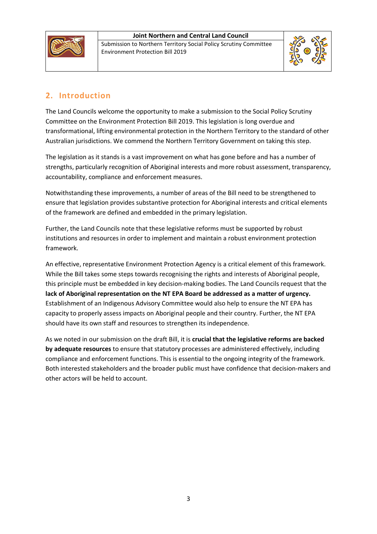

Submission to Northern Territory Social Policy Scrutiny Committee Environment Protection Bill 2019



# **2. Introduction**

The Land Councils welcome the opportunity to make a submission to the Social Policy Scrutiny Committee on the Environment Protection Bill 2019. This legislation is long overdue and transformational, lifting environmental protection in the Northern Territory to the standard of other Australian jurisdictions. We commend the Northern Territory Government on taking this step.

The legislation as it stands is a vast improvement on what has gone before and has a number of strengths, particularly recognition of Aboriginal interests and more robust assessment, transparency, accountability, compliance and enforcement measures.

Notwithstanding these improvements, a number of areas of the Bill need to be strengthened to ensure that legislation provides substantive protection for Aboriginal interests and critical elements of the framework are defined and embedded in the primary legislation.

Further, the Land Councils note that these legislative reforms must be supported by robust institutions and resources in order to implement and maintain a robust environment protection framework.

An effective, representative Environment Protection Agency is a critical element of this framework. While the Bill takes some steps towards recognising the rights and interests of Aboriginal people, this principle must be embedded in key decision-making bodies. The Land Councils request that the **lack of Aboriginal representation on the NT EPA Board be addressed as a matter of urgency.** Establishment of an Indigenous Advisory Committee would also help to ensure the NT EPA has capacity to properly assess impacts on Aboriginal people and their country. Further, the NT EPA should have its own staff and resources to strengthen its independence.

As we noted in our submission on the draft Bill, it is **crucial that the legislative reforms are backed by adequate resources** to ensure that statutory processes are administered effectively, including compliance and enforcement functions. This is essential to the ongoing integrity of the framework. Both interested stakeholders and the broader public must have confidence that decision-makers and other actors will be held to account.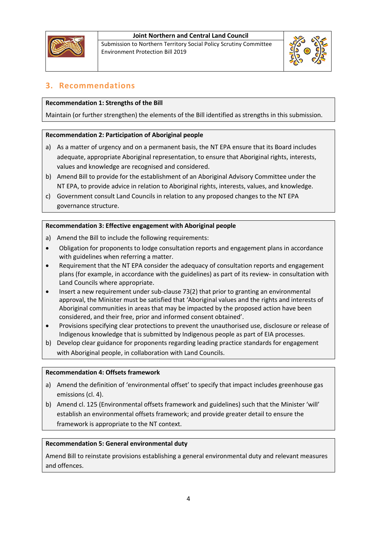

Submission to Northern Territory Social Policy Scrutiny Committee Environment Protection Bill 2019



# **3. Recommendations**

# **Recommendation 1: Strengths of the Bill**

Maintain (or further strengthen) the elements of the Bill identified as strengths in this submission.

# **Recommendation 2: Participation of Aboriginal people**

- a) As a matter of urgency and on a permanent basis, the NT EPA ensure that its Board includes adequate, appropriate Aboriginal representation, to ensure that Aboriginal rights, interests, values and knowledge are recognised and considered.
- b) Amend Bill to provide for the establishment of an Aboriginal Advisory Committee under the NT EPA, to provide advice in relation to Aboriginal rights, interests, values, and knowledge.
- c) Government consult Land Councils in relation to any proposed changes to the NT EPA governance structure.

# **Recommendation 3: Effective engagement with Aboriginal people**

- a) Amend the Bill to include the following requirements:
- Obligation for proponents to lodge consultation reports and engagement plans in accordance with guidelines when referring a matter.
- Requirement that the NT EPA consider the adequacy of consultation reports and engagement plans (for example, in accordance with the guidelines) as part of its review- in consultation with Land Councils where appropriate.
- Insert a new requirement under sub-clause 73(2) that prior to granting an environmental approval, the Minister must be satisfied that 'Aboriginal values and the rights and interests of Aboriginal communities in areas that may be impacted by the proposed action have been considered, and their free, prior and informed consent obtained'.
- Provisions specifying clear protections to prevent the unauthorised use, disclosure or release of Indigenous knowledge that is submitted by Indigenous people as part of EIA processes.
- b) Develop clear guidance for proponents regarding leading practice standards for engagement with Aboriginal people, in collaboration with Land Councils.

#### **Recommendation 4: Offsets framework**

- a) Amend the definition of 'environmental offset' to specify that impact includes greenhouse gas emissions (cl. 4).
- b) Amend cl. 125 (Environmental offsets framework and guidelines) such that the Minister 'will' establish an environmental offsets framework; and provide greater detail to ensure the framework is appropriate to the NT context.

# **Recommendation 5: General environmental duty**

Amend Bill to reinstate provisions establishing a general environmental duty and relevant measures and offences.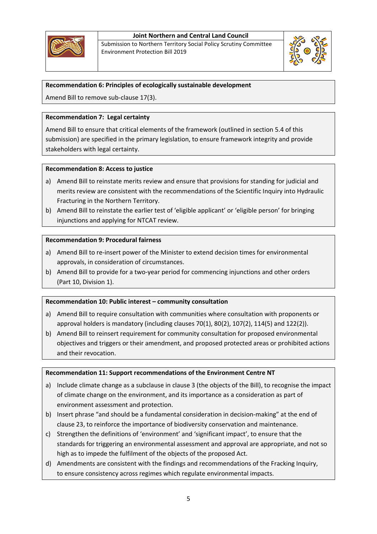

Submission to Northern Territory Social Policy Scrutiny Committee Environment Protection Bill 2019



## **Recommendation 6: Principles of ecologically sustainable development**

Amend Bill to remove sub-clause 17(3).

#### **Recommendation 7: Legal certainty**

Amend Bill to ensure that critical elements of the framework (outlined in section 5.4 of this submission) are specified in the primary legislation, to ensure framework integrity and provide stakeholders with legal certainty.

#### **Recommendation 8: Access to justice**

- a) Amend Bill to reinstate merits review and ensure that provisions for standing for judicial and merits review are consistent with the recommendations of the Scientific Inquiry into Hydraulic Fracturing in the Northern Territory.
- b) Amend Bill to reinstate the earlier test of 'eligible applicant' or 'eligible person' for bringing injunctions and applying for NTCAT review.

#### **Recommendation 9: Procedural fairness**

- a) Amend Bill to re-insert power of the Minister to extend decision times for environmental approvals, in consideration of circumstances.
- b) Amend Bill to provide for a two-year period for commencing injunctions and other orders (Part 10, Division 1).

#### **Recommendation 10: Public interest – community consultation**

- a) Amend Bill to require consultation with communities where consultation with proponents or approval holders is mandatory (including clauses 70(1), 80(2), 107(2), 114(5) and 122(2)).
- b) Amend Bill to reinsert requirement for community consultation for proposed environmental objectives and triggers or their amendment, and proposed protected areas or prohibited actions and their revocation.

#### **Recommendation 11: Support recommendations of the Environment Centre NT**

- a) Include climate change as a subclause in clause 3 (the objects of the Bill), to recognise the impact of climate change on the environment, and its importance as a consideration as part of environment assessment and protection.
- b) Insert phrase "and should be a fundamental consideration in decision-making" at the end of clause 23, to reinforce the importance of biodiversity conservation and maintenance.
- c) Strengthen the definitions of 'environment' and 'significant impact', to ensure that the standards for triggering an environmental assessment and approval are appropriate, and not so high as to impede the fulfilment of the objects of the proposed Act.
- d) Amendments are consistent with the findings and recommendations of the Fracking Inquiry, to ensure consistency across regimes which regulate environmental impacts.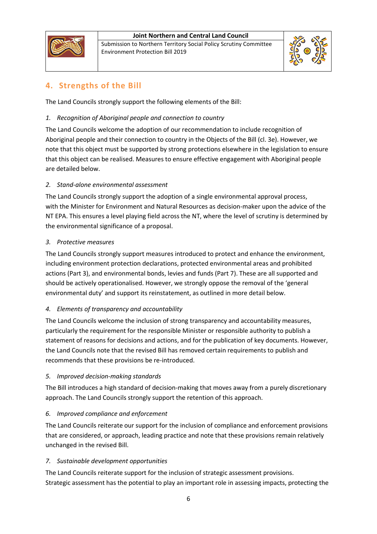

Submission to Northern Territory Social Policy Scrutiny Committee Environment Protection Bill 2019



# **4. Strengths of the Bill**

The Land Councils strongly support the following elements of the Bill:

# *1. Recognition of Aboriginal people and connection to country*

The Land Councils welcome the adoption of our recommendation to include recognition of Aboriginal people and their connection to country in the Objects of the Bill (cl. 3e). However, we note that this object must be supported by strong protections elsewhere in the legislation to ensure that this object can be realised. Measures to ensure effective engagement with Aboriginal people are detailed below.

# *2. Stand-alone environmental assessment*

The Land Councils strongly support the adoption of a single environmental approval process, with the Minister for Environment and Natural Resources as decision-maker upon the advice of the NT EPA. This ensures a level playing field across the NT, where the level of scrutiny is determined by the environmental significance of a proposal.

# *3. Protective measures*

The Land Councils strongly support measures introduced to protect and enhance the environment, including environment protection declarations, protected environmental areas and prohibited actions (Part 3), and environmental bonds, levies and funds (Part 7). These are all supported and should be actively operationalised. However, we strongly oppose the removal of the 'general environmental duty' and support its reinstatement, as outlined in more detail below.

# *4. Elements of transparency and accountability*

The Land Councils welcome the inclusion of strong transparency and accountability measures, particularly the requirement for the responsible Minister or responsible authority to publish a statement of reasons for decisions and actions, and for the publication of key documents. However, the Land Councils note that the revised Bill has removed certain requirements to publish and recommends that these provisions be re-introduced.

# *5. Improved decision-making standards*

The Bill introduces a high standard of decision-making that moves away from a purely discretionary approach. The Land Councils strongly support the retention of this approach.

# *6. Improved compliance and enforcement*

The Land Councils reiterate our support for the inclusion of compliance and enforcement provisions that are considered, or approach, leading practice and note that these provisions remain relatively unchanged in the revised Bill.

# *7. Sustainable development opportunities*

The Land Councils reiterate support for the inclusion of strategic assessment provisions. Strategic assessment has the potential to play an important role in assessing impacts, protecting the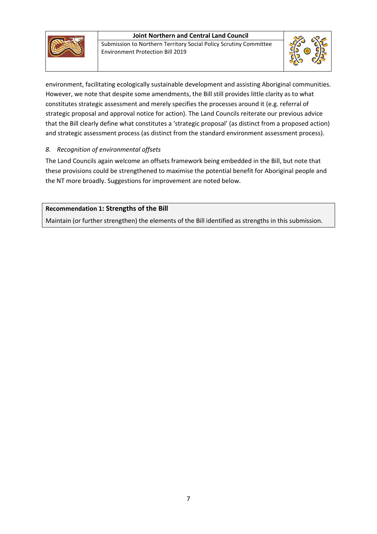

Submission to Northern Territory Social Policy Scrutiny Committee Environment Protection Bill 2019



environment, facilitating ecologically sustainable development and assisting Aboriginal communities. However, we note that despite some amendments, the Bill still provides little clarity as to what constitutes strategic assessment and merely specifies the processes around it (e.g. referral of strategic proposal and approval notice for action). The Land Councils reiterate our previous advice that the Bill clearly define what constitutes a 'strategic proposal' (as distinct from a proposed action) and strategic assessment process (as distinct from the standard environment assessment process).

# *8. Recognition of environmental offsets*

The Land Councils again welcome an offsets framework being embedded in the Bill, but note that these provisions could be strengthened to maximise the potential benefit for Aboriginal people and the NT more broadly. Suggestions for improvement are noted below.

# **Recommendation 1: Strengths of the Bill**

Maintain (or further strengthen) the elements of the Bill identified as strengths in this submission.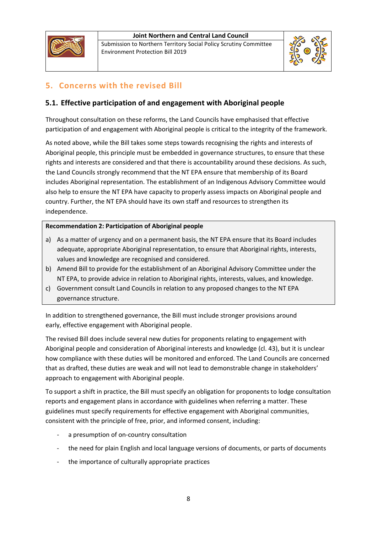

Submission to Northern Territory Social Policy Scrutiny Committee Environment Protection Bill 2019



# **5. Concerns with the revised Bill**

# **5.1. Effective participation of and engagement with Aboriginal people**

Throughout consultation on these reforms, the Land Councils have emphasised that effective participation of and engagement with Aboriginal people is critical to the integrity of the framework.

As noted above, while the Bill takes some steps towards recognising the rights and interests of Aboriginal people, this principle must be embedded in governance structures, to ensure that these rights and interests are considered and that there is accountability around these decisions. As such, the Land Councils strongly recommend that the NT EPA ensure that membership of its Board includes Aboriginal representation. The establishment of an Indigenous Advisory Committee would also help to ensure the NT EPA have capacity to properly assess impacts on Aboriginal people and country. Further, the NT EPA should have its own staff and resources to strengthen its independence.

# **Recommendation 2: Participation of Aboriginal people**

- a) As a matter of urgency and on a permanent basis, the NT EPA ensure that its Board includes adequate, appropriate Aboriginal representation, to ensure that Aboriginal rights, interests, values and knowledge are recognised and considered.
- b) Amend Bill to provide for the establishment of an Aboriginal Advisory Committee under the NT EPA, to provide advice in relation to Aboriginal rights, interests, values, and knowledge.
- c) Government consult Land Councils in relation to any proposed changes to the NT EPA governance structure.

In addition to strengthened governance, the Bill must include stronger provisions around early, effective engagement with Aboriginal people.

The revised Bill does include several new duties for proponents relating to engagement with Aboriginal people and consideration of Aboriginal interests and knowledge (cl. 43), but it is unclear how compliance with these duties will be monitored and enforced. The Land Councils are concerned that as drafted, these duties are weak and will not lead to demonstrable change in stakeholders' approach to engagement with Aboriginal people.

To support a shift in practice, the Bill must specify an obligation for proponents to lodge consultation reports and engagement plans in accordance with guidelines when referring a matter. These guidelines must specify requirements for effective engagement with Aboriginal communities, consistent with the principle of free, prior, and informed consent, including:

- a presumption of on-country consultation
- the need for plain English and local language versions of documents, or parts of documents
- the importance of culturally appropriate practices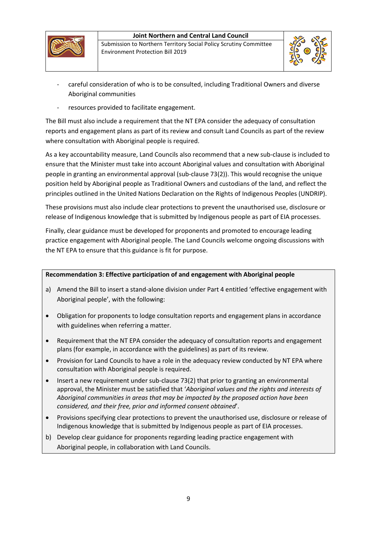



- careful consideration of who is to be consulted, including Traditional Owners and diverse Aboriginal communities
- resources provided to facilitate engagement.

The Bill must also include a requirement that the NT EPA consider the adequacy of consultation reports and engagement plans as part of its review and consult Land Councils as part of the review where consultation with Aboriginal people is required.

As a key accountability measure, Land Councils also recommend that a new sub-clause is included to ensure that the Minister must take into account Aboriginal values and consultation with Aboriginal people in granting an environmental approval (sub-clause 73(2)). This would recognise the unique position held by Aboriginal people as Traditional Owners and custodians of the land, and reflect the principles outlined in the United Nations Declaration on the Rights of Indigenous Peoples (UNDRIP).

These provisions must also include clear protections to prevent the unauthorised use, disclosure or release of Indigenous knowledge that is submitted by Indigenous people as part of EIA processes.

Finally, clear guidance must be developed for proponents and promoted to encourage leading practice engagement with Aboriginal people. The Land Councils welcome ongoing discussions with the NT EPA to ensure that this guidance is fit for purpose.

# **Recommendation 3: Effective participation of and engagement with Aboriginal people**

- a) Amend the Bill to insert a stand-alone division under Part 4 entitled 'effective engagement with Aboriginal people', with the following:
- Obligation for proponents to lodge consultation reports and engagement plans in accordance with guidelines when referring a matter.
- Requirement that the NT EPA consider the adequacy of consultation reports and engagement plans (for example, in accordance with the guidelines) as part of its review.
- Provision for Land Councils to have a role in the adequacy review conducted by NT EPA where consultation with Aboriginal people is required.
- Insert a new requirement under sub-clause 73(2) that prior to granting an environmental approval, the Minister must be satisfied that '*Aboriginal values and the rights and interests of Aboriginal communities in areas that may be impacted by the proposed action have been considered, and their free, prior and informed consent obtained*'.
- Provisions specifying clear protections to prevent the unauthorised use, disclosure or release of Indigenous knowledge that is submitted by Indigenous people as part of EIA processes.
- b) Develop clear guidance for proponents regarding leading practice engagement with Aboriginal people, in collaboration with Land Councils.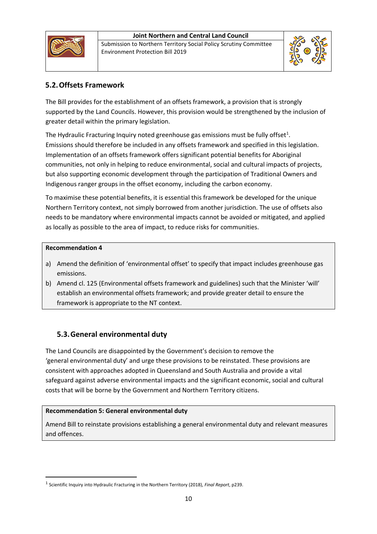





# **5.2.Offsets Framework**

The Bill provides for the establishment of an offsets framework, a provision that is strongly supported by the Land Councils. However, this provision would be strengthened by the inclusion of greater detail within the primary legislation.

The Hydraulic Fracturing Inquiry noted greenhouse gas emissions must be fully offset<sup>[1](#page-9-0)</sup>. Emissions should therefore be included in any offsets framework and specified in this legislation. Implementation of an offsets framework offers significant potential benefits for Aboriginal communities, not only in helping to reduce environmental, social and cultural impacts of projects, but also supporting economic development through the participation of Traditional Owners and Indigenous ranger groups in the offset economy, including the carbon economy.

To maximise these potential benefits, it is essential this framework be developed for the unique Northern Territory context, not simply borrowed from another jurisdiction. The use of offsets also needs to be mandatory where environmental impacts cannot be avoided or mitigated, and applied as locally as possible to the area of impact, to reduce risks for communities.

# **Recommendation 4**

- a) Amend the definition of 'environmental offset' to specify that impact includes greenhouse gas emissions.
- b) Amend cl. 125 (Environmental offsets framework and guidelines) such that the Minister 'will' establish an environmental offsets framework; and provide greater detail to ensure the framework is appropriate to the NT context.

# **5.3.General environmental duty**

The Land Councils are disappointed by the Government's decision to remove the 'general environmental duty' and urge these provisions to be reinstated. These provisions are consistent with approaches adopted in Queensland and South Australia and provide a vital safeguard against adverse environmental impacts and the significant economic, social and cultural costs that will be borne by the Government and Northern Territory citizens.

# **Recommendation 5: General environmental duty**

Amend Bill to reinstate provisions establishing a general environmental duty and relevant measures and offences.

<span id="page-9-0"></span> <sup>1</sup> Scientific Inquiry into Hydraulic Fracturing in the Northern Territory (2018), *Final Report*, p239.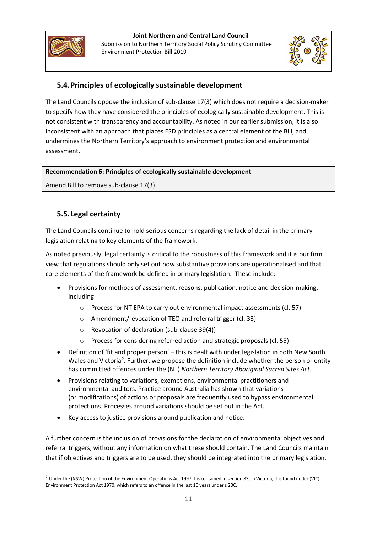

Submission to Northern Territory Social Policy Scrutiny Committee Environment Protection Bill 2019



# **5.4.Principles of ecologically sustainable development**

The Land Councils oppose the inclusion of sub-clause 17(3) which does not require a decision-maker to specify how they have considered the principles of ecologically sustainable development. This is not consistent with transparency and accountability. As noted in our earlier submission, it is also inconsistent with an approach that places ESD principles as a central element of the Bill, and undermines the Northern Territory's approach to environment protection and environmental assessment.

# **Recommendation 6: Principles of ecologically sustainable development**

Amend Bill to remove sub-clause 17(3).

# **5.5.Legal certainty**

The Land Councils continue to hold serious concerns regarding the lack of detail in the primary legislation relating to key elements of the framework.

As noted previously, legal certainty is critical to the robustness of this framework and it is our firm view that regulations should only set out how substantive provisions are operationalised and that core elements of the framework be defined in primary legislation. These include:

- Provisions for methods of assessment, reasons, publication, notice and decision-making, including:
	- o Process for NT EPA to carry out environmental impact assessments (cl. 57)
	- o Amendment/revocation of TEO and referral trigger (cl. 33)
	- o Revocation of declaration (sub-clause 39(4))
	- Process for considering referred action and strategic proposals (cl. 55)
- Definition of 'fit and proper person' this is dealt with under legislation in both New South Wales and Victoria<sup>[2](#page-10-0)</sup>. Further, we propose the definition include whether the person or entity has committed offences under the (NT) *Northern Territory Aboriginal Sacred Sites Act.*
- Provisions relating to variations, exemptions, environmental practitioners and environmental auditors. Practice around Australia has shown that variations (or modifications) of actions or proposals are frequently used to bypass environmental protections. Processes around variations should be set out in the Act.
- Key access to justice provisions around publication and notice.

A further concern is the inclusion of provisions for the declaration of environmental objectives and referral triggers, without any information on what these should contain. The Land Councils maintain that if objectives and triggers are to be used, they should be integrated into the primary legislation,

<span id="page-10-0"></span><sup>&</sup>lt;sup>2</sup> Under the (NSW) Protection of the Environment Operations Act 1997 it is contained in section 83; in Victoria, it is found under (VIC) Environment Protection Act 1970, which refers to an offence in the last 10 years under s 20C.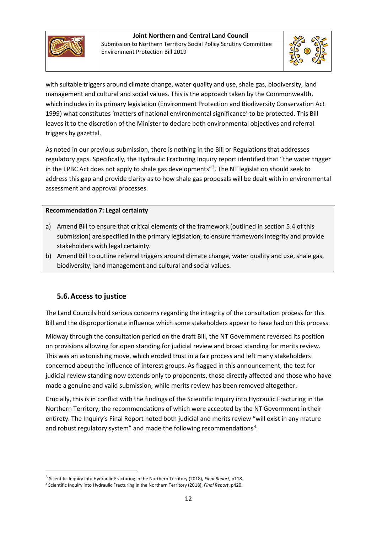





with suitable triggers around climate change, water quality and use, shale gas, biodiversity, land management and cultural and social values. This is the approach taken by the Commonwealth, which includes in its primary legislation (Environment Protection and Biodiversity Conservation Act 1999) what constitutes 'matters of national environmental significance' to be protected. This Bill leaves it to the discretion of the Minister to declare both environmental objectives and referral triggers by gazettal.

As noted in our previous submission, there is nothing in the Bill or Regulations that addresses regulatory gaps. Specifically, the Hydraulic Fracturing Inquiry report identified that "the water trigger in the EPBC Act does not apply to shale gas developments"<sup>[3](#page-11-0)</sup>. The NT legislation should seek to address this gap and provide clarity as to how shale gas proposals will be dealt with in environmental assessment and approval processes.

# **Recommendation 7: Legal certainty**

- a) Amend Bill to ensure that critical elements of the framework (outlined in section 5.4 of this submission) are specified in the primary legislation, to ensure framework integrity and provide stakeholders with legal certainty.
- b) Amend Bill to outline referral triggers around climate change, water quality and use, shale gas, biodiversity, land management and cultural and social values.

# **5.6.Access to justice**

The Land Councils hold serious concerns regarding the integrity of the consultation process for this Bill and the disproportionate influence which some stakeholders appear to have had on this process.

Midway through the consultation period on the draft Bill, the NT Government reversed its position on provisions allowing for open standing for judicial review and broad standing for merits review. This was an astonishing move, which eroded trust in a fair process and left many stakeholders concerned about the influence of interest groups. As flagged in this announcement, the test for judicial review standing now extends only to proponents, those directly affected and those who have made a genuine and valid submission, while merits review has been removed altogether.

Crucially, this is in conflict with the findings of the Scientific Inquiry into Hydraulic Fracturing in the Northern Territory, the recommendations of which were accepted by the NT Government in their entirety. The Inquiry's Final Report noted both judicial and merits review "will exist in any mature and robust regulatory system" and made the following recommendations<sup>[4](#page-11-1)</sup>:

<span id="page-11-0"></span> <sup>3</sup> Scientific Inquiry into Hydraulic Fracturing in the Northern Territory (2018), *Final Report*, p118.

<span id="page-11-1"></span><sup>4</sup> Scientific Inquiry into Hydraulic Fracturing in the Northern Territory (2018), *Final Report*, p420.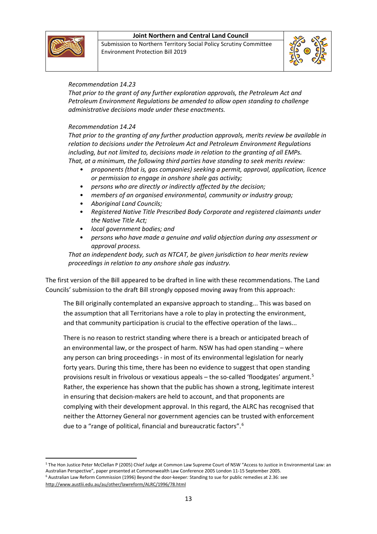

Submission to Northern Territory Social Policy Scrutiny Committee Environment Protection Bill 2019



## *Recommendation 14.23*

*That prior to the grant of any further exploration approvals, the Petroleum Act and Petroleum Environment Regulations be amended to allow open standing to challenge administrative decisions made under these enactments.*

#### *Recommendation 14.24*

*That prior to the granting of any further production approvals, merits review be available in relation to decisions under the Petroleum Act and Petroleum Environment Regulations including, but not limited to, decisions made in relation to the granting of all EMPs. That, at a minimum, the following third parties have standing to seek merits review:*

- *proponents (that is, gas companies) seeking a permit, approval, application, licence or permission to engage in onshore shale gas activity;*
- *persons who are directly or indirectly affected by the decision;*
- *members of an organised environmental, community or industry group;*
- *Aboriginal Land Councils;*
- *Registered Native Title Prescribed Body Corporate and registered claimants under the Native Title Act;*
- *local government bodies; and*
- *persons who have made a genuine and valid objection during any assessment or approval process.*

*That an independent body, such as NTCAT, be given jurisdiction to hear merits review proceedings in relation to any onshore shale gas industry.*

The first version of the Bill appeared to be drafted in line with these recommendations. The Land Councils' submission to the draft Bill strongly opposed moving away from this approach:

The Bill originally contemplated an expansive approach to standing... This was based on the assumption that all Territorians have a role to play in protecting the environment, and that community participation is crucial to the effective operation of the laws...

There is no reason to restrict standing where there is a breach or anticipated breach of an environmental law, or the prospect of harm. NSW has had open standing – where any person can bring proceedings - in most of its environmental legislation for nearly forty years. During this time, there has been no evidence to suggest that open standing provisions result in frivolous or vexatious appeals – the so-called 'floodgates' argument.[5](#page-12-0) Rather, the experience has shown that the public has shown a strong, legitimate interest in ensuring that decision-makers are held to account, and that proponents are complying with their development approval. In this regard, the ALRC has recognised that neither the Attorney General nor government agencies can be trusted with enforcement due to a "range of political, financial and bureaucratic factors".<sup>[6](#page-12-1)</sup>

<span id="page-12-1"></span><span id="page-12-0"></span> <sup>5</sup> The Hon Justice Peter McClellan P (2005) Chief Judge at Common Law Supreme Court of NSW "Access to Justice in Environmental Law: an Australian Perspective", paper presented at Commonwealth Law Conference 2005 London 11-15 September 2005. <sup>6</sup> Australian Law Reform Commission (1996) Beyond the door-keeper*:* Standing to sue for public remedies at 2.36: see http://www.austlii.edu.au/au/other/lawreform/ALRC/1996/78.html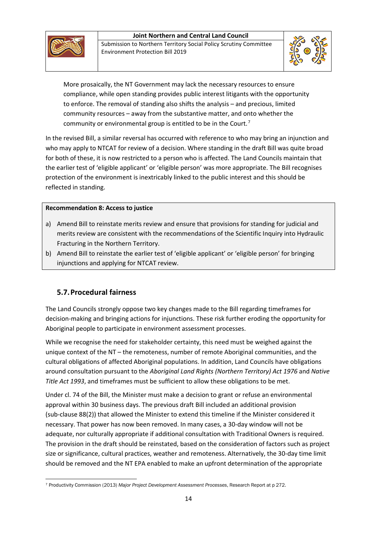





More prosaically, the NT Government may lack the necessary resources to ensure compliance, while open standing provides public interest litigants with the opportunity to enforce. The removal of standing also shifts the analysis – and precious, limited community resources – away from the substantive matter, and onto whether the community or environmental group is entitled to be in the Court.[7](#page-13-0)

In the revised Bill, a similar reversal has occurred with reference to who may bring an injunction and who may apply to NTCAT for review of a decision. Where standing in the draft Bill was quite broad for both of these, it is now restricted to a person who is affected. The Land Councils maintain that the earlier test of 'eligible applicant' or 'eligible person' was more appropriate. The Bill recognises protection of the environment is inextricably linked to the public interest and this should be reflected in standing.

# **Recommendation 8: Access to justice**

- a) Amend Bill to reinstate merits review and ensure that provisions for standing for judicial and merits review are consistent with the recommendations of the Scientific Inquiry into Hydraulic Fracturing in the Northern Territory.
- b) Amend Bill to reinstate the earlier test of 'eligible applicant' or 'eligible person' for bringing injunctions and applying for NTCAT review.

# **5.7.Procedural fairness**

The Land Councils strongly oppose two key changes made to the Bill regarding timeframes for decision-making and bringing actions for injunctions. These risk further eroding the opportunity for Aboriginal people to participate in environment assessment processes.

While we recognise the need for stakeholder certainty, this need must be weighed against the unique context of the NT – the remoteness, number of remote Aboriginal communities, and the cultural obligations of affected Aboriginal populations. In addition, Land Councils have obligations around consultation pursuant to the *Aboriginal Land Rights (Northern Territory) Act 1976* and *Native Title Act 1993*, and timeframes must be sufficient to allow these obligations to be met.

Under cl. 74 of the Bill, the Minister must make a decision to grant or refuse an environmental approval within 30 business days. The previous draft Bill included an additional provision (sub-clause 88(2)) that allowed the Minister to extend this timeline if the Minister considered it necessary. That power has now been removed. In many cases, a 30-day window will not be adequate, nor culturally appropriate if additional consultation with Traditional Owners is required. The provision in the draft should be reinstated, based on the consideration of factors such as project size or significance, cultural practices, weather and remoteness. Alternatively, the 30-day time limit should be removed and the NT EPA enabled to make an upfront determination of the appropriate

<span id="page-13-0"></span> $\overline{\phantom{a}}$ <sup>7</sup> Productivity Commission (2013) *Major Project Development Assessment Processes*, Research Report at p 272.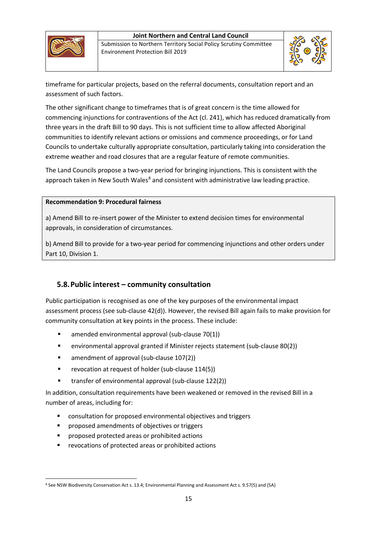

Submission to Northern Territory Social Policy Scrutiny Committee Environment Protection Bill 2019



timeframe for particular projects, based on the referral documents, consultation report and an assessment of such factors.

The other significant change to timeframes that is of great concern is the time allowed for commencing injunctions for contraventions of the Act (cl. 241), which has reduced dramatically from three years in the draft Bill to 90 days. This is not sufficient time to allow affected Aboriginal communities to identify relevant actions or omissions and commence proceedings, or for Land Councils to undertake culturally appropriate consultation, particularly taking into consideration the extreme weather and road closures that are a regular feature of remote communities.

The Land Councils propose a two-year period for bringing injunctions. This is consistent with the approach taken in New South Wales $^8$  $^8$  and consistent with administrative law leading practice.

#### **Recommendation 9: Procedural fairness**

a) Amend Bill to re-insert power of the Minister to extend decision times for environmental approvals, in consideration of circumstances.

b) Amend Bill to provide for a two-year period for commencing injunctions and other orders under Part 10, Division 1.

# **5.8.Public interest – community consultation**

Public participation is recognised as one of the key purposes of the environmental impact assessment process (see sub-clause 42(d)). However, the revised Bill again fails to make provision for community consultation at key points in the process. These include:

- amended environmental approval (sub-clause 70(1))
- environmental approval granted if Minister rejects statement (sub-clause 80(2))
- **E** amendment of approval (sub-clause 107(2))
- **F** revocation at request of holder (sub-clause 114(5))
- transfer of environmental approval (sub-clause 122(2))

In addition, consultation requirements have been weakened or removed in the revised Bill in a number of areas, including for:

- consultation for proposed environmental objectives and triggers
- **PEDIFF** proposed amendments of objectives or triggers
- **P** proposed protected areas or prohibited actions
- **F** revocations of protected areas or prohibited actions

<span id="page-14-0"></span> <sup>8</sup> See NSW Biodiversity Conservation Act s. 13.4; Environmental Planning and Assessment Act s. 9.57(5) and (5A)